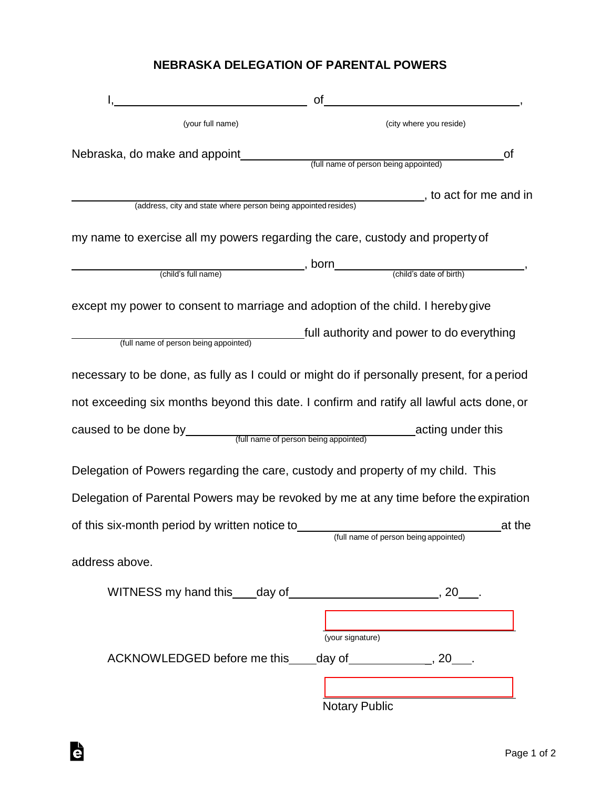## **NEBRASKA DELEGATION OF PARENTAL POWERS**

|                                                                                           | <b>of</b><br><u> 1989 - Johann Barbara, martxa a</u> |
|-------------------------------------------------------------------------------------------|------------------------------------------------------|
| (your full name)                                                                          | (city where you reside)                              |
| Nebraska, do make and appoint                                                             | of<br>(full name of person being appointed)          |
| (address, city and state where person being appointed resides)                            | , to act for me and in                               |
| my name to exercise all my powers regarding the care, custody and property of             |                                                      |
| (child's full name)                                                                       |                                                      |
| except my power to consent to marriage and adoption of the child. I hereby give           |                                                      |
| (full name of person being appointed)                                                     | _full authority and power to do everything           |
| necessary to be done, as fully as I could or might do if personally present, for a period |                                                      |
| not exceeding six months beyond this date. I confirm and ratify all lawful acts done, or  |                                                      |
|                                                                                           |                                                      |
| Delegation of Powers regarding the care, custody and property of my child. This           |                                                      |
| Delegation of Parental Powers may be revoked by me at any time before the expiration      |                                                      |
| of this six-month period by written notice to                                             | at the<br>(full name of person being appointed)      |
| address above.                                                                            |                                                      |
|                                                                                           |                                                      |
|                                                                                           | (your signature)                                     |
| ACKNOWLEDGED before me this ____ day of _______________, 20____.                          |                                                      |
|                                                                                           | <b>Notary Public</b>                                 |

è